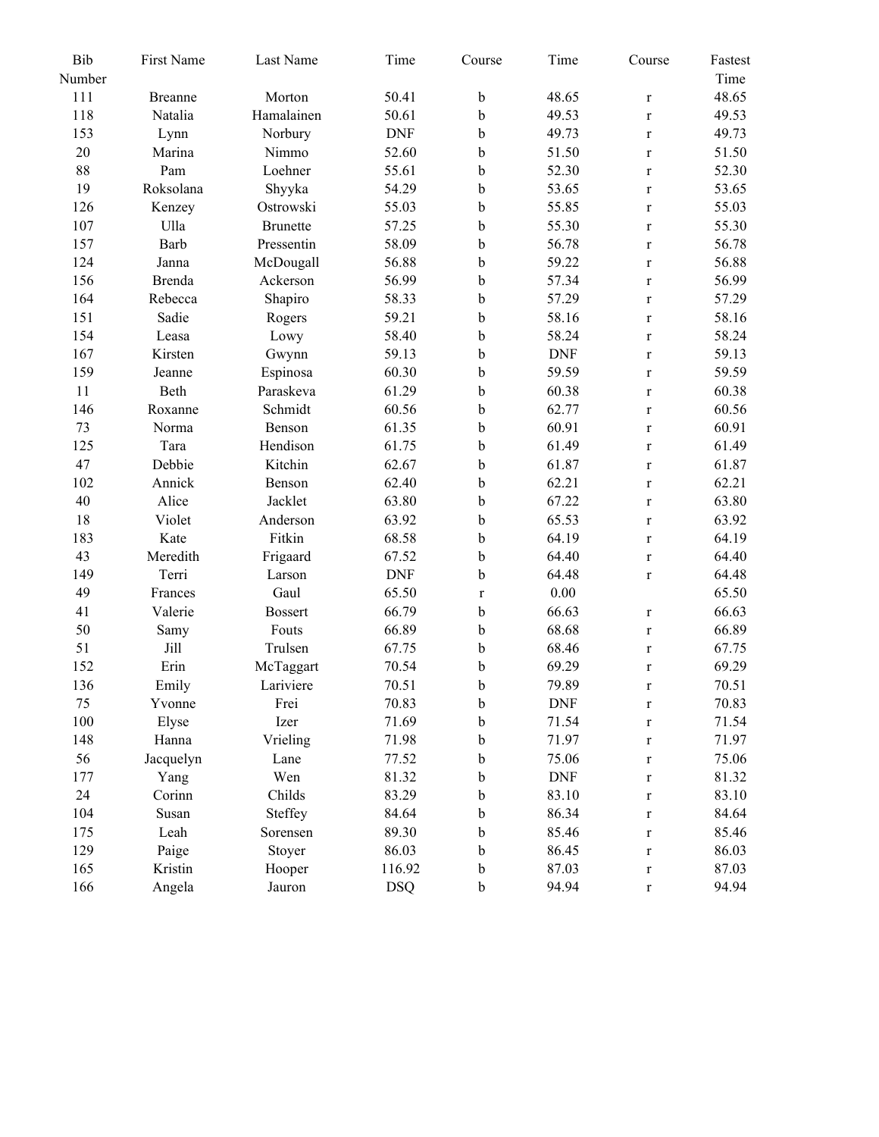| Bib    | First Name     | Last Name       | Time       | Course      | Time       | Course       | Fastest |
|--------|----------------|-----------------|------------|-------------|------------|--------------|---------|
| Number |                |                 |            |             |            |              | Time    |
| 111    | <b>Breanne</b> | Morton          | 50.41      | b           | 48.65      | $\mathbf r$  | 48.65   |
| 118    | Natalia        | Hamalainen      | 50.61      | b           | 49.53      | $\mathbf r$  | 49.53   |
| 153    | Lynn           | Norbury         | <b>DNF</b> | b           | 49.73      | $\mathbf r$  | 49.73   |
| 20     | Marina         | Nimmo           | 52.60      | b           | 51.50      | $\mathbf r$  | 51.50   |
| 88     | Pam            | Loehner         | 55.61      | b           | 52.30      | $\mathbf r$  | 52.30   |
| 19     | Roksolana      | Shyyka          | 54.29      | b           | 53.65      | $\mathbf r$  | 53.65   |
| 126    | Kenzey         | Ostrowski       | 55.03      | b           | 55.85      | $\mathbf r$  | 55.03   |
| 107    | Ulla           | <b>Brunette</b> | 57.25      | b           | 55.30      | $\mathbf r$  | 55.30   |
| 157    | Barb           | Pressentin      | 58.09      | b           | 56.78      | $\mathbf{r}$ | 56.78   |
| 124    | Janna          | McDougall       | 56.88      | b           | 59.22      | $\mathbf r$  | 56.88   |
| 156    | Brenda         | Ackerson        | 56.99      | b           | 57.34      | $\mathbf r$  | 56.99   |
| 164    | Rebecca        | Shapiro         | 58.33      | b           | 57.29      | $\mathbf r$  | 57.29   |
| 151    | Sadie          | Rogers          | 59.21      | $\mathbf b$ | 58.16      | $\mathbf r$  | 58.16   |
| 154    | Leasa          | Lowy            | 58.40      | $\mathbf b$ | 58.24      | $\mathbf r$  | 58.24   |
| 167    | Kirsten        | Gwynn           | 59.13      | b           | <b>DNF</b> | $\mathbf r$  | 59.13   |
| 159    | Jeanne         | Espinosa        | 60.30      | b           | 59.59      | $\mathbf{r}$ | 59.59   |
| 11     | Beth           | Paraskeva       | 61.29      | b           | 60.38      | $\mathbf r$  | 60.38   |
| 146    | Roxanne        | Schmidt         | 60.56      | b           | 62.77      | $\mathbf r$  | 60.56   |
| 73     | Norma          | Benson          | 61.35      | b           | 60.91      | $\mathbf r$  | 60.91   |
| 125    | Tara           | Hendison        | 61.75      | b           | 61.49      | $\mathbf r$  | 61.49   |
| 47     | Debbie         | Kitchin         | 62.67      | b           | 61.87      | $\mathbf r$  | 61.87   |
| 102    | Annick         | Benson          | 62.40      | b           | 62.21      | $\mathbf r$  | 62.21   |
| 40     | Alice          | Jacklet         | 63.80      | b           | 67.22      | $\mathbf r$  | 63.80   |
| 18     | Violet         | Anderson        | 63.92      | b           | 65.53      | $\mathbf{r}$ | 63.92   |
| 183    | Kate           | Fitkin          | 68.58      | b           | 64.19      | $\mathbf r$  | 64.19   |
| 43     | Meredith       | Frigaard        | 67.52      | b           | 64.40      | $\mathbf r$  | 64.40   |
| 149    | Terri          | Larson          | <b>DNF</b> | b           | 64.48      | $\mathbf r$  | 64.48   |
| 49     | Frances        | Gaul            | 65.50      | $\mathbf r$ | $0.00\,$   |              | 65.50   |
| 41     | Valerie        | <b>Bossert</b>  | 66.79      | $\mathbf b$ | 66.63      | $\mathbf r$  | 66.63   |
| 50     | Samy           | Fouts           | 66.89      | b           | 68.68      | $\mathbf r$  | 66.89   |
| 51     | Jill           | Trulsen         | 67.75      | b           | 68.46      | $\mathbf r$  | 67.75   |
| 152    | Erin           | McTaggart       | 70.54      | b           | 69.29      | $\mathbf r$  | 69.29   |
| 136    | Emily          | Lariviere       | 70.51      | b           | 79.89      | $\mathbf r$  | 70.51   |
| 75     | Yvonne         | Frei            | 70.83      | $\rm b$     | <b>DNF</b> | $\mathbf r$  | 70.83   |
| 100    | Elyse          | Izer            | 71.69      | $\mathbf b$ | 71.54      | $\mathbf r$  | 71.54   |
| 148    | Hanna          | Vrieling        | 71.98      | $\mathbf b$ | 71.97      | $\mathbf r$  | 71.97   |
| 56     | Jacquelyn      | Lane            | 77.52      | $\mathbf b$ | 75.06      | $\mathbf r$  | 75.06   |
| 177    | Yang           | Wen             | 81.32      | b           | <b>DNF</b> | $\mathbf r$  | 81.32   |
| 24     | Corinn         | Childs          | 83.29      | $\mathbf b$ | 83.10      | $\mathbf r$  | 83.10   |
| 104    | Susan          | Steffey         | 84.64      | $\mathbf b$ | 86.34      | $\mathbf r$  | 84.64   |
| 175    | Leah           | Sorensen        | 89.30      | $\bf b$     | 85.46      | $\mathbf r$  | 85.46   |
| 129    | Paige          | Stoyer          | 86.03      | $\mathbf b$ | 86.45      | $\mathbf r$  | 86.03   |
| 165    | Kristin        | Hooper          | 116.92     | $\mathbf b$ | 87.03      | $\mathbf r$  | 87.03   |
| 166    | Angela         | Jauron          | <b>DSQ</b> | $\mathbf b$ | 94.94      | $\mathbf r$  | 94.94   |
|        |                |                 |            |             |            |              |         |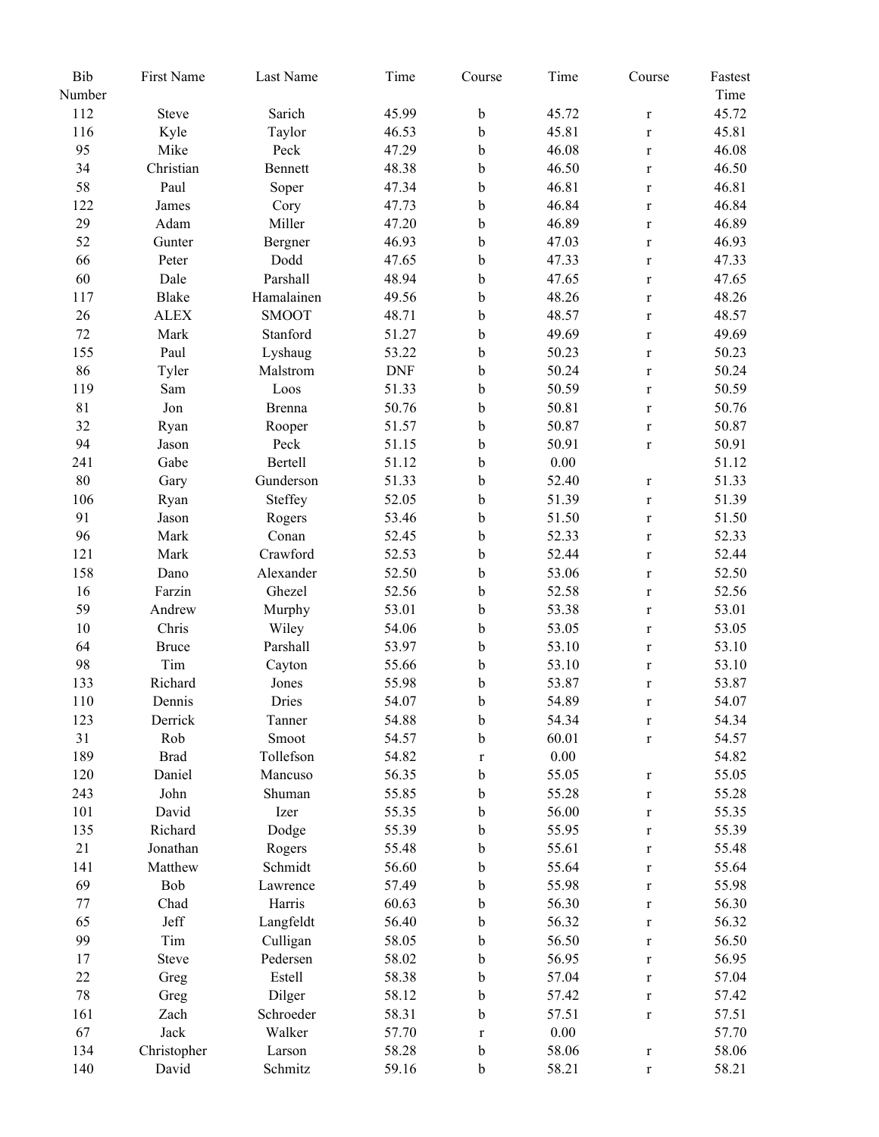| Bib    | First Name  | Last Name    | Time       | Course      | Time     | Course      | Fastest |
|--------|-------------|--------------|------------|-------------|----------|-------------|---------|
| Number |             |              |            |             |          |             | Time    |
| 112    | Steve       | Sarich       | 45.99      | $\mathbf b$ | 45.72    | $\mathbf r$ | 45.72   |
| 116    | Kyle        | Taylor       | 46.53      | $\mathbf b$ | 45.81    | $\mathbf r$ | 45.81   |
| 95     | Mike        | Peck         | 47.29      | b           | 46.08    | $\mathbf r$ | 46.08   |
| 34     | Christian   | Bennett      | 48.38      | $\mathbf b$ | 46.50    | $\mathbf r$ | 46.50   |
| 58     | Paul        | Soper        | 47.34      | b           | 46.81    | $\mathbf r$ | 46.81   |
| 122    | James       | Cory         | 47.73      | $\bf b$     | 46.84    | $\mathbf r$ | 46.84   |
| 29     | Adam        | Miller       | 47.20      | $\bf b$     | 46.89    | $\mathbf r$ | 46.89   |
| 52     | Gunter      | Bergner      | 46.93      | $\bf b$     | 47.03    | $\mathbf r$ | 46.93   |
| 66     | Peter       | Dodd         | 47.65      | $\rm b$     | 47.33    | $\mathbf r$ | 47.33   |
| 60     | Dale        | Parshall     | 48.94      | $\rm b$     | 47.65    | $\mathbf r$ | 47.65   |
| 117    | Blake       | Hamalainen   | 49.56      | $\bf b$     | 48.26    | $\mathbf r$ | 48.26   |
| 26     | <b>ALEX</b> | <b>SMOOT</b> | 48.71      | $\bf b$     | 48.57    | $\mathbf r$ | 48.57   |
| 72     | Mark        | Stanford     | 51.27      | $\rm b$     | 49.69    | $\mathbf r$ | 49.69   |
| 155    | Paul        | Lyshaug      | 53.22      | $\rm b$     | 50.23    | $\mathbf r$ | 50.23   |
| 86     | Tyler       | Malstrom     | <b>DNF</b> | $\bf b$     | 50.24    | $\mathbf r$ | 50.24   |
| 119    | Sam         | Loos         | 51.33      | $\bf b$     | 50.59    | $\mathbf r$ | 50.59   |
| 81     | Jon         | Brenna       | 50.76      | $\mathbf b$ | 50.81    | $\mathbf r$ | 50.76   |
| 32     | Ryan        | Rooper       | 51.57      | b           | 50.87    | $\mathbf r$ | 50.87   |
| 94     | Jason       | Peck         | 51.15      | $\bf b$     | 50.91    | $\mathbf r$ | 50.91   |
| 241    | Gabe        | Bertell      | 51.12      | b           | $0.00\,$ |             | 51.12   |
| $80\,$ | Gary        | Gunderson    | 51.33      | $\bf b$     | 52.40    | $\mathbf r$ | 51.33   |
| 106    | Ryan        | Steffey      | 52.05      | b           | 51.39    | $\mathbf r$ | 51.39   |
| 91     | Jason       | Rogers       | 53.46      | $\rm b$     | 51.50    | $\mathbf r$ | 51.50   |
| 96     | Mark        | Conan        | 52.45      | $\mathbf b$ | 52.33    | $\mathbf r$ | 52.33   |
| 121    | Mark        | Crawford     | 52.53      | $\rm b$     | 52.44    | $\mathbf r$ | 52.44   |
| 158    | Dano        | Alexander    | 52.50      | $\bf b$     | 53.06    | $\mathbf r$ | 52.50   |
| 16     | Farzin      | Ghezel       | 52.56      | $\bf b$     | 52.58    | $\mathbf r$ | 52.56   |
| 59     | Andrew      | Murphy       | 53.01      | $\rm b$     | 53.38    | $\mathbf r$ | 53.01   |
| $10\,$ | Chris       | Wiley        | 54.06      | $\rm b$     | 53.05    | $\mathbf r$ | 53.05   |
| 64     | Bruce       | Parshall     | 53.97      | $\bf b$     | 53.10    | $\mathbf r$ | 53.10   |
| 98     | Tim         | Cayton       | 55.66      | $\bf b$     | 53.10    | $\mathbf r$ | 53.10   |
| 133    | Richard     | Jones        | 55.98      | $\mathbf b$ | 53.87    | $\mathbf r$ | 53.87   |
| 110    | Dennis      | Dries        | 54.07      | b           | 54.89    | $\mathbf r$ | 54.07   |
| 123    | Derrick     | Tanner       | 54.88      | $\mathbf b$ | 54.34    | $\mathbf r$ | 54.34   |
| 31     | Rob         | Smoot        | 54.57      | b           | 60.01    | $\mathbf r$ | 54.57   |
| 189    | <b>Brad</b> | Tollefson    | 54.82      | $\mathbf r$ | $0.00\,$ |             | 54.82   |
| 120    | Daniel      | Mancuso      | 56.35      | $\mathbf b$ | 55.05    | $\mathbf r$ | 55.05   |
| 243    | John        | Shuman       | 55.85      | $\mathbf b$ | 55.28    | $\mathbf r$ | 55.28   |
| 101    | David       | Izer         | 55.35      | $\mathbf b$ | 56.00    | $\mathbf r$ | 55.35   |
| 135    | Richard     | Dodge        | 55.39      | $\mathbf b$ | 55.95    | $\mathbf r$ | 55.39   |
| 21     | Jonathan    | Rogers       | 55.48      | b           | 55.61    | $\mathbf r$ | 55.48   |
| 141    | Matthew     | Schmidt      | 56.60      | b           | 55.64    | $\mathbf r$ | 55.64   |
| 69     | Bob         | Lawrence     | 57.49      | $\mathbf b$ | 55.98    | $\mathbf r$ | 55.98   |
| 77     | Chad        | Harris       | 60.63      | b           | 56.30    | $\mathbf r$ | 56.30   |
| 65     | Jeff        | Langfeldt    | 56.40      | $\mathbf b$ | 56.32    | $\mathbf r$ | 56.32   |
| 99     | Tim         | Culligan     | 58.05      | $\mathbf b$ | 56.50    | $\mathbf r$ | 56.50   |
| 17     | Steve       | Pedersen     | 58.02      | $\mathbf b$ | 56.95    | $\mathbf r$ | 56.95   |
| 22     | Greg        | Estell       | 58.38      | b           | 57.04    | $\mathbf r$ | 57.04   |
| 78     | Greg        | Dilger       | 58.12      | b           | 57.42    | $\mathbf r$ | 57.42   |
| 161    | Zach        | Schroeder    | 58.31      | $\mathbf b$ | 57.51    | $\mathbf r$ | 57.51   |
| 67     | Jack        | Walker       | 57.70      | $\mathbf r$ | $0.00\,$ |             | 57.70   |
| 134    | Christopher | Larson       | 58.28      | b           | 58.06    | $\mathbf r$ | 58.06   |
| 140    | David       | Schmitz      | 59.16      | $\mathbf b$ | 58.21    | $\mathbf r$ | 58.21   |